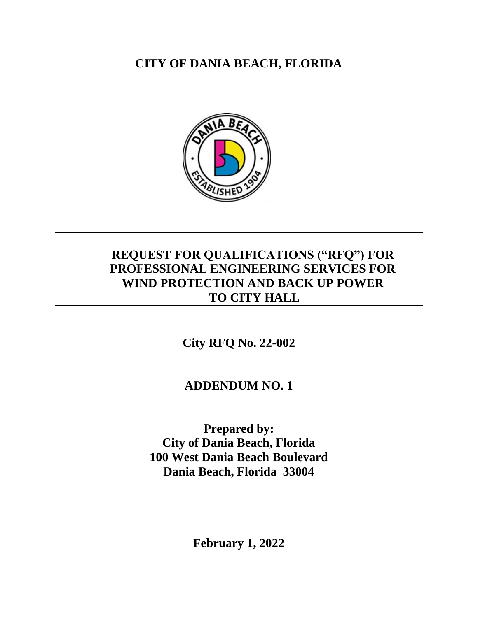**CITY OF DANIA BEACH, FLORIDA**



## **REQUEST FOR QUALIFICATIONS ("RFQ") FOR PROFESSIONAL ENGINEERING SERVICES FOR WIND PROTECTION AND BACK UP POWER TO CITY HALL**

**City RFQ No. 22-002**

**ADDENDUM NO. 1**

**Prepared by: City of Dania Beach, Florida 100 West Dania Beach Boulevard Dania Beach, Florida 33004**

**February 1, 2022**